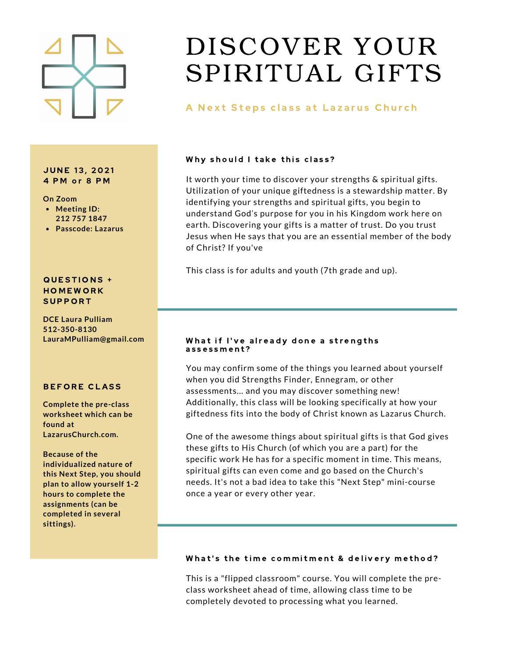

#### **JUNE 13, 2021** 4 PM or 8 PM

#### **On Zoom**

- **Meeting ID: 212 757 1847**
- **Passcode: Lazarus**

#### QUESTIONS + **HOMEWORK SUPPORT**

**DCE Laura Pulliam 512-350-8130 LauraMPulliam@gmail.com**

### **BEFORE CLASS**

**Complete the pre-class worksheet which can be found at LazarusChurch.com.**

**Because of the individualized nature of this Next Step, you should plan to allow yourself 1-2 hours to complete the assignments (can be completed in several sittings).**

## DISCOVER YOUR SPIRITUAL GIFTS

## A Next Steps class at Lazarus Church

### Why should I take this class?

It worth your time to discover your strengths & spiritual gifts. Utilization of your unique giftedness is a stewardship matter. By identifying your strengths and spiritual gifts, you begin to understand God's purpose for you in his Kingdom work here on earth. Discovering your gifts is a matter of trust. Do you trust Jesus when He says that you are an essential member of the body of Christ? If you've

This class is for adults and youth (7th grade and up).

#### What if I've already done a strengths assessment?

You may confirm some of the things you learned about yourself when you did Strengths Finder, Ennegram, or other assessments... and you may discover something new! Additionally, this class will be looking specifically at how your giftedness fits into the body of Christ known as Lazarus Church.

One of the awesome things about spiritual gifts is that God gives these gifts to His Church (of which you are a part) for the specific work He has for a specific moment in time. This means, spiritual gifts can even come and go based on the Church's needs. It's not a bad idea to take this "Next Step" mini-course once a year or every other year.

### What's the time commitment & delivery method?

This is a "flipped classroom" course. You will complete the preclass worksheet ahead of time, allowing class time to be completely devoted to processing what you learned.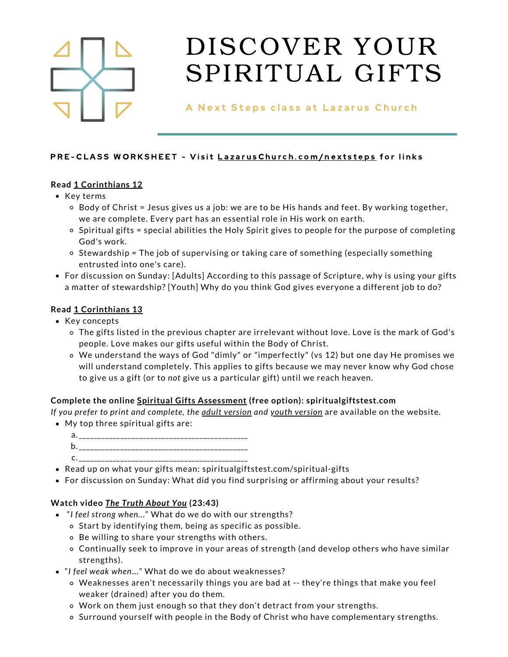

A Next Steps class at Lazarus Church

## PRE-CLASS WORKSHEET - Visit LazarusChurch.co[m](http://lazaruschurch.com/nextsteps)/nextsteps for links

## **Read 1 [Corinthians](https://www.blueletterbible.org/nlt/1co/12/1/s_1074001) 12**

- Key terms
	- $\circ$  Body of Christ = Jesus gives us a job: we are to be His hands and feet. By working together, we are complete. Every part has an essential role in His work on earth.
	- $\circ$  Spiritual gifts = special abilities the Holy Spirit gives to people for the purpose of completing God's work.
	- o Stewardship = The job of supervising or taking care of something (especially something entrusted into one's care).
- For discussion on Sunday: [Adults] According to this passage of Scripture, why is using your gifts a matter of stewardship? [Youth] Why do you think God gives everyone a different job to do?

## **Read 1 [Corinthians](https://www.blueletterbible.org/nlt/1co/13/1/s_1075001) 13**

- Key concepts
	- The gifts listed in the previous chapter are irrelevant without love. Love is the mark of God's people. Love makes our gifts useful within the Body of Christ.
	- We understand the ways of God "dimly" or "imperfectly" (vs 12) but one day He promises we will understand completely. This applies to gifts because we may never know why God chose to give us a gift (or to *not* give us a particular gift) until we reach heaven.

## **Complete the online Spiritual Gifts [Assessment](https://spiritualgiftstest.com/spiritual-gifts-test-landing/) (free option): spiritualgiftstest.com**

*If you prefer to print and complete, the adult [version](https://8f3669c6-9c0c-4fd4-a646-acb4f7b6cf11.usrfiles.com/ugd/8f3669_90c7210a8c12454ab11362c3c18b8f5a.pdf) and youth [version](https://8f3669c6-9c0c-4fd4-a646-acb4f7b6cf11.usrfiles.com/ugd/8f3669_220f4a522434439fa793194d7ff2ea8f.pdf)* are available on the website*.*

- My top three spiritual gifts are:
	- \_\_\_\_\_\_\_\_\_\_\_\_\_\_\_\_\_\_\_\_\_\_\_\_\_\_\_\_\_\_\_\_\_\_\_\_\_\_\_\_\_\_\_\_\_ a.
	- \_\_\_\_\_\_\_\_\_\_\_\_\_\_\_\_\_\_\_\_\_\_\_\_\_\_\_\_\_\_\_\_\_\_\_\_\_\_\_\_\_\_\_\_\_ b.
	- \_\_\_\_\_\_\_\_\_\_\_\_\_\_\_\_\_\_\_\_\_\_\_\_\_\_\_\_\_\_\_\_\_\_\_\_\_\_\_\_\_\_\_\_\_ c.
- Read up on what your gifts mean: spiritualgiftstest.com/spiritual-gifts
- For discussion on Sunday: What did you find surprising or affirming about your results?

## **Watch video** *The Truth [About](https://www.youtube.com/watch?v=_9aU5EiKfkA) You* **(23:43)**

- "*I feel strong when...*" What do we do with our strengths?
	- o Start by identifying them, being as specific as possible.
	- Be willing to share your strengths with others.
	- Continually seek to improve in your areas of strength (and develop others who have similar strengths).
- "*I feel weak when*…" What do we do about weaknesses?
	- Weaknesses aren't necessarily things you are bad at -- they're things that make you feel weaker (drained) after you do them.
	- Work on them just enough so that they don't detract from your strengths.
	- $\circ$  Surround yourself with people in the Body of Christ who have complementary strengths.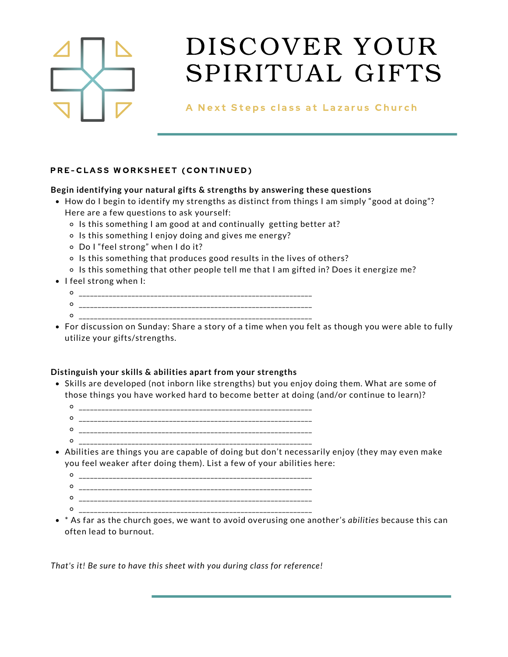

## A Next Steps class at Lazarus Church

## PRE-CLASS WORKSHEET (CONTINUED)

### **Begin identifying your natural gifts & strengths by answering these questions**

- How do I begin to identify my strengths as distinct from things I am simply "good at doing"? Here are a few questions to ask yourself:
	- o Is this something I am good at and continually getting better at?
	- o Is this something I enjoy doing and gives me energy?
	- Do I "feel strong" when I do it?
	- o Is this something that produces good results in the lives of others?
	- o Is this something that other people tell me that I am gifted in? Does it energize me?
- $\bullet$  I feel strong when I:
	- \_\_\_\_\_\_\_\_\_\_\_\_\_\_\_\_\_\_\_\_\_\_\_\_\_\_\_\_\_\_\_\_\_\_\_\_\_\_\_\_\_\_\_\_\_\_\_\_\_\_\_\_\_\_\_\_\_\_\_\_\_\_ \_\_\_\_\_\_\_\_\_\_\_\_\_\_\_\_\_\_\_\_\_\_\_\_\_\_\_\_\_\_\_\_\_\_\_\_\_\_\_\_\_\_\_\_\_\_\_\_\_\_\_\_\_\_\_\_\_\_\_\_\_\_
	- \_\_\_\_\_\_\_\_\_\_\_\_\_\_\_\_\_\_\_\_\_\_\_\_\_\_\_\_\_\_\_\_\_\_\_\_\_\_\_\_\_\_\_\_\_\_\_\_\_\_\_\_\_\_\_\_\_\_\_\_\_\_
- For discussion on Sunday: Share a story of a time when you felt as though you were able to fully utilize your gifts/strengths.

## **Distinguish your skills & abilities apart from your strengths**

- Skills are developed (not inborn like strengths) but you enjoy doing them. What are some of those things you have worked hard to become better at doing (and/or continue to learn)?
	- \_\_\_\_\_\_\_\_\_\_\_\_\_\_\_\_\_\_\_\_\_\_\_\_\_\_\_\_\_\_\_\_\_\_\_\_\_\_\_\_\_\_\_\_\_\_\_\_\_\_\_\_\_\_\_\_\_\_\_\_\_\_ \_\_\_\_\_\_\_\_\_\_\_\_\_\_\_\_\_\_\_\_\_\_\_\_\_\_\_\_\_\_\_\_\_\_\_\_\_\_\_\_\_\_\_\_\_\_\_\_\_\_\_\_\_\_\_\_\_\_\_\_\_\_ \_\_\_\_\_\_\_\_\_\_\_\_\_\_\_\_\_\_\_\_\_\_\_\_\_\_\_\_\_\_\_\_\_\_\_\_\_\_\_\_\_\_\_\_\_\_\_\_\_\_\_\_\_\_\_\_\_\_\_\_\_\_
	- \_\_\_\_\_\_\_\_\_\_\_\_\_\_\_\_\_\_\_\_\_\_\_\_\_\_\_\_\_\_\_\_\_\_\_\_\_\_\_\_\_\_\_\_\_\_\_\_\_\_\_\_\_\_\_\_\_\_\_\_\_\_
- Abilities are things you are capable of doing but don't necessarily enjoy (they may even make you feel weaker after doing them). List a few of your abilities here:

 $\circ$ \_\_\_\_\_\_\_\_\_\_\_\_\_\_\_\_\_\_\_\_\_\_\_\_\_\_\_\_\_\_\_\_\_\_\_\_\_\_\_\_\_\_\_\_\_\_\_\_\_\_\_\_\_\_\_\_\_\_\_\_\_\_

- \_\_\_\_\_\_\_\_\_\_\_\_\_\_\_\_\_\_\_\_\_\_\_\_\_\_\_\_\_\_\_\_\_\_\_\_\_\_\_\_\_\_\_\_\_\_\_\_\_\_\_\_\_\_\_\_\_\_\_\_\_\_
- \_\_\_\_\_\_\_\_\_\_\_\_\_\_\_\_\_\_\_\_\_\_\_\_\_\_\_\_\_\_\_\_\_\_\_\_\_\_\_\_\_\_\_\_\_\_\_\_\_\_\_\_\_\_\_\_\_\_\_\_\_\_
- \* As far as the church goes, we want to avoid overusing one another's *abilities* because this can often lead to burnout.

*That's it! Be sure to have this sheet with you during class for reference!*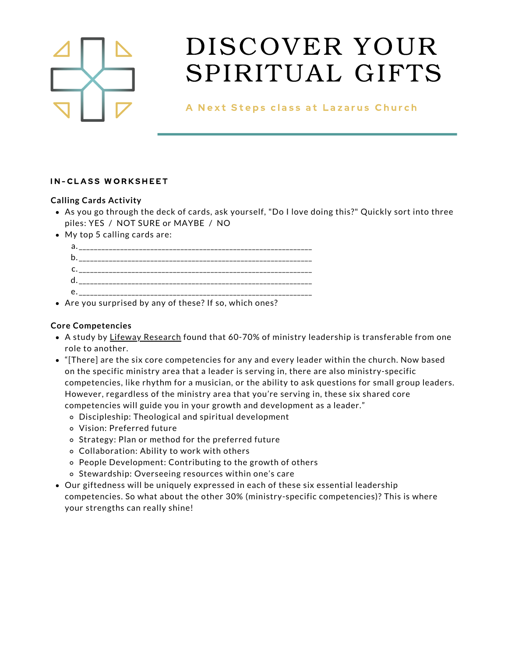

A Next Steps class at Lazarus Church

### **IN-CLASS WORKSHEET**

### **Calling Cards Activity**

- As you go through the deck of cards, ask yourself, "Do I love doing this?" Quickly sort into three piles: YES / NOT SURE or MAYBE / NO
- My top 5 calling cards are:

Are you surprised by any of these? If so, which ones?

### **Core Competencies**

- A study by Lifeway [Research](https://leadership.lifeway.com/2016/10/12/6-qualities-of-a-developed-leader-in-the-church/) found that 60-70% of ministry leadership is transferable from one role to another.
- "[There] are the six core competencies for any and every leader within the church. Now based on the specific ministry area that a leader is serving in, there are also ministry-specific competencies, like rhythm for a musician, or the ability to ask questions for small group leaders. However, regardless of the ministry area that you're serving in, these six shared core competencies will guide you in your growth and development as a leader."
	- Discipleship: Theological and spiritual development
	- Vision: Preferred future
	- o Strategy: Plan or method for the preferred future
	- Collaboration: Ability to work with others
	- People Development: Contributing to the growth of others
	- o Stewardship: Overseeing resources within one's care
- Our giftedness will be uniquely expressed in each of these six essential leadership competencies. So what about the other 30% (ministry-specific competencies)? This is where your strengths can really shine!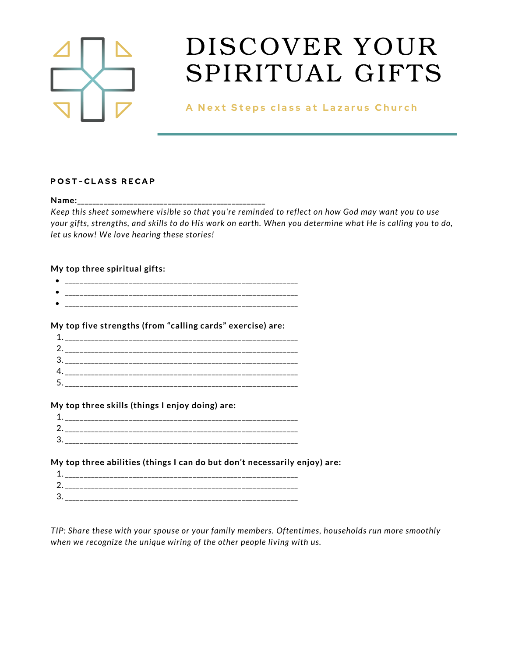

A Next Steps class at Lazarus Church

#### POST-CLASS RECAP

**Name:\_\_\_\_\_\_\_\_\_\_\_\_\_\_\_\_\_\_\_\_\_\_\_\_\_\_\_\_\_\_\_\_\_\_\_\_\_\_\_\_\_\_\_\_\_\_\_\_\_\_**

Keep this sheet somewhere visible so that you're reminded to reflect on how God may want you to use your gifts, strengths, and skills to do His work on earth. When you determine what He is calling you to do, *let us know! We love hearing these stories!*

### **My top three spiritual gifts:**

- \_\_\_\_\_\_\_\_\_\_\_\_\_\_\_\_\_\_\_\_\_\_\_\_\_\_\_\_\_\_\_\_\_\_\_\_\_\_\_\_\_\_\_\_\_\_\_\_\_\_\_\_\_\_\_\_\_\_\_\_\_\_ \_\_\_\_\_\_\_\_\_\_\_\_\_\_\_\_\_\_\_\_\_\_\_\_\_\_\_\_\_\_\_\_\_\_\_\_\_\_\_\_\_\_\_\_\_\_\_\_\_\_\_\_\_\_\_\_\_\_\_\_\_\_
- \_\_\_\_\_\_\_\_\_\_\_\_\_\_\_\_\_\_\_\_\_\_\_\_\_\_\_\_\_\_\_\_\_\_\_\_\_\_\_\_\_\_\_\_\_\_\_\_\_\_\_\_\_\_\_\_\_\_\_\_\_\_

### **My top five strengths (from "calling cards" exercise) are:**

| $\ddot{\phantom{a}}$ |  |
|----------------------|--|
|                      |  |
|                      |  |
|                      |  |

### **My top three skills (things I enjoy doing) are:**

| л<br>┸ |  |
|--------|--|
| 2      |  |
| 3      |  |

## **My top three abilities (things I can do but don't necessarily enjoy) are:**

|                           | --------------------------<br>_________________________________<br>-- |
|---------------------------|-----------------------------------------------------------------------|
| ⌒                         | ______________________<br>--                                          |
| C<br>$\ddot{\phantom{a}}$ | ____<br>_________________________________                             |

*TIP: Share these with your spouse or your family members. Oftentimes, households run more smoothly when we recognize the unique wiring of the other people living with us.*